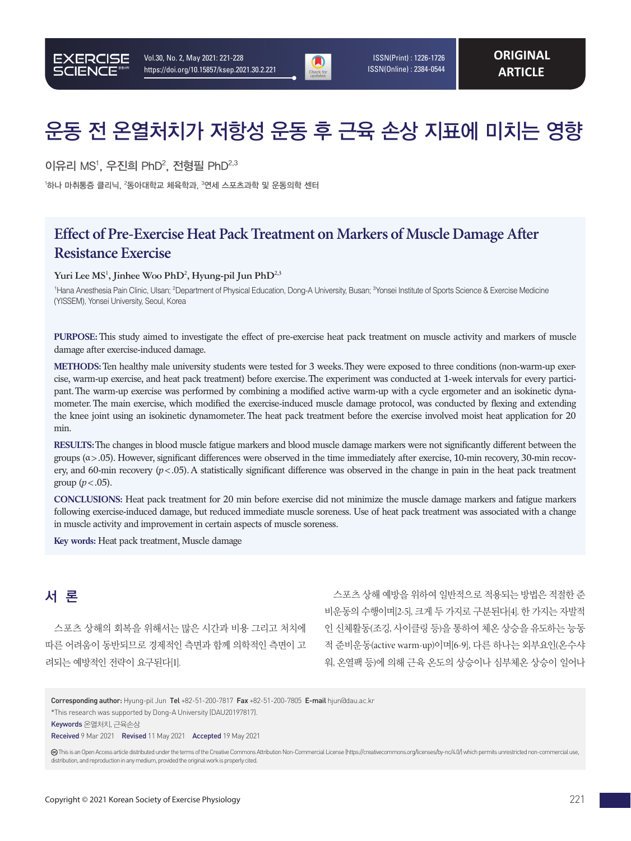

 ISSN(Print) : 1226-1726 ISSN(Online) : 2384-0544

# 운동 전 온열처치가 저항성 운동 후 근육 손상 지표에 미치는 영향

이유리 MS<sup>1</sup>, 우진희 PhD<sup>2</sup>, 전형필 PhD<sup>2,3</sup>

 $^{\rm !}$ 하나 마취통증 클리닉,  $^{\rm 2}$ 동아대학교 체육학과,  $^{\rm 3}$ 연세 스포츠과학 및 운동의학 센터

## **Effect of Pre-Exercise Heat Pack Treatment on Markers of Muscle Damage After Resistance Exercise**

#### Yuri Lee MS<sup>1</sup>, Jinhee Woo PhD<sup>2</sup>, Hyung-pil Jun PhD<sup>2,3</sup>

<sup>1</sup>Hana Anesthesia Pain Clinic, Ulsan; <sup>2</sup>Department of Physical Education, Dong-A University, Busan; <sup>3</sup>Yonsei Institute of Sports Science & Exercise Medicine (YISSEM), Yonsei University, Seoul, Korea

**PURPOSE:** This study aimed to investigate the effect of pre-exercise heat pack treatment on muscle activity and markers of muscle damage after exercise-induced damage.

**METHODS:** Ten healthy male university students were tested for 3 weeks. They were exposed to three conditions (non-warm-up exercise, warm-up exercise, and heat pack treatment) before exercise. The experiment was conducted at 1-week intervals for every participant. The warm-up exercise was performed by combining a modified active warm-up with a cycle ergometer and an isokinetic dynamometer. The main exercise, which modified the exercise-induced muscle damage protocol, was conducted by flexing and extending the knee joint using an isokinetic dynamometer. The heat pack treatment before the exercise involved moist heat application for 20 min.

**RESULTS:** The changes in blood muscle fatigue markers and blood muscle damage markers were not significantly different between the groups  $(\alpha > .05)$ . However, significant differences were observed in the time immediately after exercise, 10-min recovery, 30-min recovery, and 60-min recovery (*p*<.05). A statistically significant difference was observed in the change in pain in the heat pack treatment group (*p*<.05).

**CONCLUSIONS:** Heat pack treatment for 20 min before exercise did not minimize the muscle damage markers and fatigue markers following exercise-induced damage, but reduced immediate muscle soreness. Use of heat pack treatment was associated with a change in muscle activity and improvement in certain aspects of muscle soreness.

**Key words:** Heat pack treatment, Muscle damage

## 서 론

스포츠 상해의 회복을 위해서는 많은 시간과 비용 그리고 처치에 따른 어려움이 동반되므로 경제적인 측면과 함께 의학적인 측면이 고 려되는 예방적인 전략이 요구된다[1].

스포츠 상해 예방을 위하여 일반적으로 적용되는 방법은 적절한 준 비운동의 수행이며[2-5], 크게 두 가지로 구분된다[4]. 한 가지는 자발적 인 신체활동(조깅, 사이클링 등)을 통하여 체온 상승을 유도하는 능동 적 준비운동(active warm-up)이며[6-9], 다른 하나는 외부요인(온수샤 워, 온열팩 등)에 의해 근육 온도의 상승이나 심부체온 상승이 일어나

Corresponding author: Hyung-pil Jun Tel +82-51-200-7817 Fax +82-51-200-7805 E-mail hjun@dau.ac.kr

<sup>\*</sup>This research was supported by Dong-A University (DAU20197817).

Keywords 온열처치, 근육손상

Received 9 Mar 2021 Revised 11 May 2021 Accepted 19 May 2021

This is an Open Access article distributed under the terms of the Creative Commons Attribution Non-Commercial License (https://creativecommons.org/licenses/by-nc/4.0/) which permits unrestricted non-commercial use, distribution, and reproduction in any medium, provided the original work is properly cited.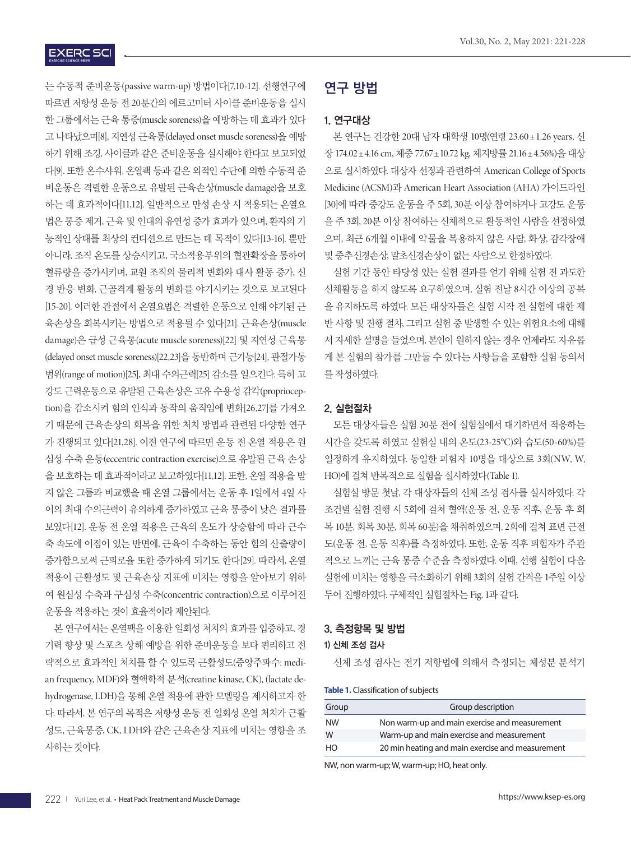는 수동적 준비운동(passive warm-up) 방법이다[7,10-12]. 선행연구에 따르면 저항성 운동 전 20분간의 에르고미터 사이클 준비운동을 실시 한 그룹에서는 근육 통증(muscle soreness)을 예방하는 데 효과가 있다 고 나타났으며[8], 지연성 근육통(delayed onset muscle soreness)을 예방 하기 위해 조깅, 사이클과 같은 준비운동을 실시해야 한다고 보고되었 다[9]. 또한 온수샤워, 온열팩 등과 같은 외적인 수단에 의한 수동적 준 비운동은 격렬한 운동으로 유발된 근육손상(muscle damage)을 보호 하는 데 효과적이다[11,12]. 일반적으로 만성 손상 시 적용되는 온열요 법은 통증 제거, 근육 및 인대의 유연성 증가 효과가 있으며, 환자의 기 능적인 상태를 최상의 컨디션으로 만드는 데 목적이 있다[13-16]. 뿐만 아니라, 조직 온도를 상승시키고, 국소적용부위의 혈관확장을 통하여 혈류량을 증가시키며, 교원 조직의 물리적 변화와 대사 활동 증가, 신 경 반응 변화, 근골격계 활동의 변화를 야기시키는 것으로 보고된다 [15-20]. 이러한 관점에서 온열요법은 격렬한 운동으로 인해 야기된 근 육손상을 회복시키는 방법으로 적용될 수 있다[21]. 근육손상(muscle damage)은 급성 근육통(acute muscle soreness)[22] 및 지연성 근육통 (delayed onset muscle soreness)[22,23]을 동반하며 근기능[24], 관절가동 범위(range of motion)[25], 최대 수의근력[25] 감소를 일으킨다. 특히 고 강도 근력운동으로 유발된 근육손상은 고유 수용성 감각(proprioception)을 감소시켜 힘의 인식과 동작의 움직임에 변화[26,27]를 가져오 기 때문에 근육손상의 회복을 위한 처치 방법과 관련된 다양한 연구 가 진행되고 있다[21,28]. 이전 연구에 따르면 운동 전 온열 적용은 원 심성 수축 운동(eccentric contraction exercise)으로 유발된 근육 손상 을 보호하는 데 효과적이라고 보고하였다[11,12]. 또한, 온열 적용을 받 지 않은 그룹과 비교했을 때 온열 그룹에서는 운동 후 1일에서 4일 사 이의 최대 수의근력이 유의하게 증가하였고 근육 통증이 낮은 결과를 보였다[12]. 운동 전 온열 적용은 근육의 온도가 상승함에 따라 근수 축 속도에 이점이 있는 반면에, 근육이 수축하는 동안 힘의 산출량이 증가함으로써 근피로율 또한 증가하게 되기도 한다[29]. 따라서, 온열 적용이 근활성도 및 근육손상 지표에 미치는 영향을 알아보기 위하 여 원심성 수축과 구심성 수축(concentric contraction)으로 이루어진

본 연구에서는 온열팩을 이용한 일회성 처치의 효과를 입증하고, 경 기력 향상 및 스포츠 상해 예방을 위한 준비운동을 보다 편리하고 전 략적으로 효과적인 처치를 할 수 있도록 근활성도(중앙주파수: median frequency, MDF)와 혈액학적 분석(creatine kinase, CK), (lactate dehydrogenase, LDH)을 통해 온열 적용에 관한 모델링을 제시하고자 한 다. 따라서, 본 연구의 목적은 저항성 운동 전 일회성 온열 처치가 근활 성도, 근육통증, CK, LDH와 같은 근육손상 지표에 미치는 영향을 조 사하는 것이다.

#### Vol.30, No. 2, May 2021: 221-228

## 연구 방법

#### 1. 연구대상

본 연구는 건강한 20대 남자 대학생 10명(연령 23.60±1.26 years, 신 장 174.02±4.16 cm, 체중 77.67±10.72 kg, 체지방률 21.16±4.56%)을 대상 으로 실시하였다. 대상자 선정과 관련하여 American College of Sports Medicine (ACSM)과 American Heart Association (AHA) 가이드라인 [30]에 따라 중강도 운동을 주 5회, 30분 이상 참여하거나 고강도 운동 을 주 3회, 20분 이상 참여하는 신체적으로 활동적인 사람을 선정하였 으며, 최근 6개월 이내에 약물을 복용하지 않은 사람, 화상, 감각장애 및 중추신경손상, 말초신경손상이 없는 사람으로 한정하였다.

실험 기간 동안 타당성 있는 실험 결과를 얻기 위해 실험 전 과도한 신체활동을 하지 않도록 요구하였으며, 실험 전날 8시간 이상의 공복 을 유지하도록 하였다. 모든 대상자들은 실험 시작 전 실험에 대한 제 반 사항 및 진행 절차, 그리고 실험 중 발생할 수 있는 위험요소에 대해 서 자세한 설명을 들었으며, 본인이 원하지 않는 경우 언제라도 자유롭 게 본 실험의 참가를 그만둘 수 있다는 사항들을 포함한 실험 동의서 를 작성하였다.

#### 2. 실험절차

모든 대상자들은 실험 30분 전에 실험실에서 대기하면서 적응하는 시간을 갖도록 하였고 실험실 내의 온도(23-25°C)와 습도(50-60%)를 일정하게 유지하였다. 동일한 피험자 10명을 대상으로 3회(NW, W, HO)에 걸쳐 반복적으로 실험을 실시하였다(Table 1).

실험실 방문 첫날, 각 대상자들의 신체 조성 검사를 실시하였다. 각 조건별 실험 진행 시 5회에 걸쳐 혈액(운동 전, 운동 직후, 운동 후 회 복 10분, 회복 30분, 회복 60분)을 채취하였으며, 2회에 걸쳐 표면 근전 도(운동 전, 운동 직후)를 측정하였다. 또한, 운동 직후 피험자가 주관 적으로 느끼는 근육 통증 수준을 측정하였다. 이때, 선행 실험이 다음 실험에 미치는 영향을 극소화하기 위해 3회의 실험 간격을 1주일 이상 두어 진행하였다. 구체적인 실험절차는 Fig. 1과 같다.

#### 3. 측정항목 및 방법

#### 1) 신체 조성 검사

신체 조성 검사는 전기 저항법에 의해서 측정되는 체성분 분석기

| Table 1. Classification of subjects |  |
|-------------------------------------|--|
|-------------------------------------|--|

| Group     | Group description                                |
|-----------|--------------------------------------------------|
| <b>NW</b> | Non warm-up and main exercise and measurement    |
| W         | Warm-up and main exercise and measurement        |
| HO        | 20 min heating and main exercise and measurement |

NW, non warm-up; W, warm-up; HO, heat only.

운동을 적용하는 것이 효율적이라 제안된다.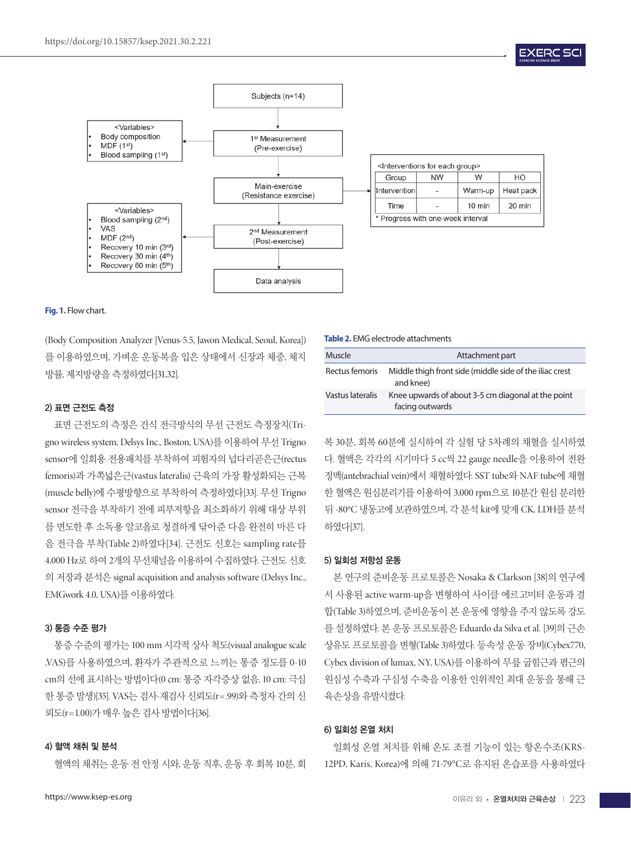

| <interventions each="" for="" group=""></interventions> |                      |  |  |  |  |
|---------------------------------------------------------|----------------------|--|--|--|--|
| Group                                                   | <b>NW</b><br>HO<br>W |  |  |  |  |
| Intervention                                            | Heat pack<br>Warm-up |  |  |  |  |
| 20 min<br>10 min<br>Time                                |                      |  |  |  |  |
| * Progress with one-week interval                       |                      |  |  |  |  |

**EXERC SC** 

**Fig. 1.** Flow chart.

(Body Composition Analyzer [Venus-5.5, Jawon Medical, Seoul, Korea]) 를 이용하였으며, 가벼운 운동복을 입은 상태에서 신장과 체중, 체지 방률, 제지방량을 측정하였다[31,32].

#### 2) 표면 근전도 측정

표면 근전도의 측정은 건식 전극방식의 무선 근전도 측정장치(Trigno wireless system, Delsys Inc., Boston, USA)를 이용하여 무선 Trigno sensor에 일회용 전용패치를 부착하여 피험자의 넙다리곧은근(rectus femoris)과 가쪽넓은근(vastus lateralis) 근육의 가장 활성화되는 근복 (muscle belly)에 수평방향으로 부착하여 측정하였다[33]. 무선 Trigno sensor 전극을 부착하기 전에 피부저항을 최소화하기 위해 대상 부위 를 면도한 후 소독용 알코올로 청결하게 닦아준 다음 완전히 마른 다 음 전극을 부착(Table 2)하였다[34]. 근전도 신호는 sampling rate를 4,000 Hz로 하여 2개의 무선채널을 이용하여 수집하였다. 근전도 신호 의 저장과 분석은 signal acquisition and analysis software (Delsys Inc., EMGwork 4.0, USA)를 이용하였다.

#### 3) 통증 수준 평가

통증 수준의 평가는 100 mm 시각적 상사 척도(visual analogue scale ,VAS)를 사용하였으며, 환자가 주관적으로 느끼는 통증 정도를 0-10 cm의 선에 표시하는 방법이다(0 cm: 통증 자각증상 없음, 10 cm: 극심 한 통증 발생)[35]. VAS는 검사-재검사 신뢰도(r=.99)와 측정자 간의 신 뢰도(r=1.00)가 매우 높은 검사 방법이다[36].

#### 4) 혈액 채취 및 분석

혈액의 채취는 운동 전 안정 시와, 운동 직후, 운동 후 회복 10분, 회

#### **Table 2.** EMG electrode attachments

| Muscle           | Attachment part                                                       |
|------------------|-----------------------------------------------------------------------|
| Rectus femoris   | Middle thigh front side (middle side of the iliac crest<br>and knee)  |
| Vastus lateralis | Knee upwards of about 3-5 cm diagonal at the point<br>facing outwards |

복 30분, 회복 60분에 실시하여 각 실험 당 5차례의 채혈을 실시하였 다. 혈액은 각각의 시기마다 5 cc씩 22 gauge needle을 이용하여 전완 정맥(antebrachial vein)에서 채혈하였다. SST tube와 NAF tube에 채혈 한 혈액은 원심분리기를 이용하여 3,000 rpm으로 10분간 원심 분리한 뒤 -80°C 냉동고에 보관하였으며, 각 분석 kit에 맞게 CK, LDH를 분석 하였다[37].

#### 5) 일회성 저항성 운동

본 연구의 준비운동 프로토콜은 Nosaka & Clarkson [38]의 연구에 서 사용된 active warm-up을 변형하여 사이클 에르고미터 운동과 결 합(Table 3)하였으며, 준비운동이 본 운동에 영향을 주지 않도록 강도 를 설정하였다. 본 운동 프로토콜은 Eduardo da Silva et al. [39]의 근손 상유도 프로토콜을 변형(Table 3)하였다. 등속성 운동 장비(Cybex770, Cybex division of lumax, NY, USA)를 이용하여 무릎 굽힘근과 폄근의 원심성 수축과 구심성 수축을 이용한 인위적인 최대 운동을 통해 근 육손상을 유발시켰다.

#### 6) 일회성 온열 처치

일회성 온열 처치를 위해 온도 조절 기능이 있는 항온수조(KRS-12PD, Karis, Korea)에 의해 71-79°C로 유지된 온습포를 사용하였다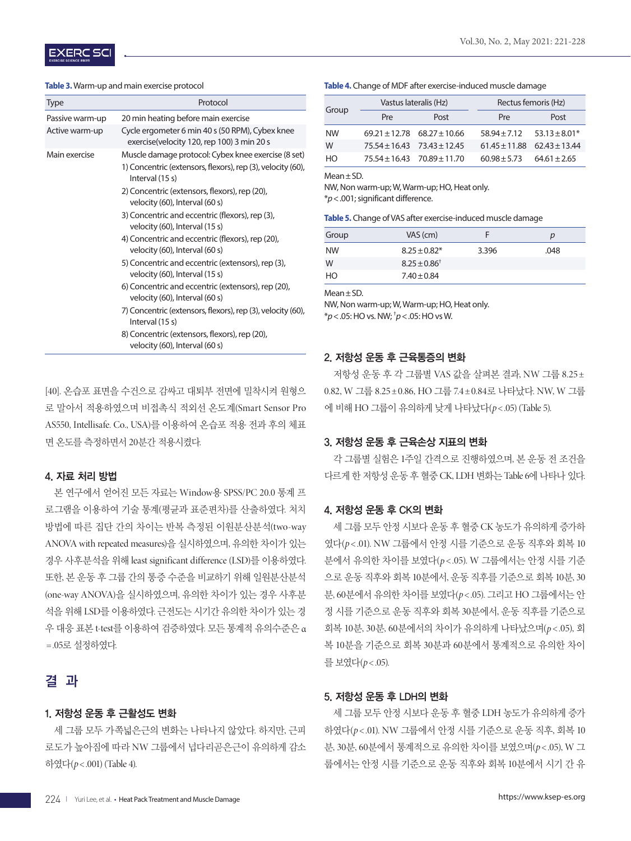#### **Table 3.** Warm-up and main exercise protocol

| <b>Type</b>     | Protocol                                                                                      |  |  |
|-----------------|-----------------------------------------------------------------------------------------------|--|--|
| Passive warm-up | 20 min heating before main exercise                                                           |  |  |
| Active warm-up  | Cycle ergometer 6 min 40 s (50 RPM), Cybex knee<br>exercise(velocity 120, rep 100) 3 min 20 s |  |  |
| Main exercise   | Muscle damage protocol: Cybex knee exercise (8 set)                                           |  |  |
|                 | 1) Concentric (extensors, flexors), rep (3), velocity (60),<br>Interval (15 s)                |  |  |
|                 | 2) Concentric (extensors, flexors), rep (20),<br>velocity (60), Interval (60 s)               |  |  |
|                 | 3) Concentric and eccentric (flexors), rep (3),<br>velocity (60), Interval (15 s)             |  |  |
|                 | 4) Concentric and eccentric (flexors), rep (20),<br>velocity (60), Interval (60 s)            |  |  |
|                 | 5) Concentric and eccentric (extensors), rep (3),<br>velocity (60), Interval (15 s)           |  |  |
|                 | 6) Concentric and eccentric (extensors), rep (20),<br>velocity (60), Interval (60 s)          |  |  |
|                 | 7) Concentric (extensors, flexors), rep (3), velocity (60),<br>Interval $(15 s)$              |  |  |
|                 | 8) Concentric (extensors, flexors), rep (20),<br>velocity (60), Interval (60 s)               |  |  |

[40]. 온습포 표면을 수건으로 감싸고 대퇴부 전면에 밀착시켜 원형으 로 말아서 적용하였으며 비접촉식 적외선 온도계(Smart Sensor Pro AS550, Intellisafe. Co., USA)를 이용하여 온습포 적용 전과 후의 체표 면 온도를 측정하면서 20분간 적용시켰다.

#### 4. 자료 처리 방법

본 연구에서 얻어진 모든 자료는 Window용 SPSS/PC 20.0 통계 프 로그램을 이용하여 기술 통계(평균과 표준편차)를 산출하였다. 처치 방법에 따른 집단 간의 차이는 반복 측정된 이원분산분석(two-way ANOVA with repeated measures)을 실시하였으며, 유의한 차이가 있는 경우 사후분석을 위해 least significant difference (LSD)를 이용하였다. 또한, 본 운동 후 그룹 간의 통증 수준을 비교하기 위해 일원분산분석 (one-way ANOVA)을 실시하였으며, 유의한 차이가 있는 경우 사후분 석을 위해 LSD를 이용하였다. 근전도는 시기간 유의한 차이가 있는 경 우 대응 표본 t-test를 이용하여 검증하였다. 모든 통계적 유의수준은 α =.05로 설정하였다.

## 결 과

#### 1. 저항성 운동 후 근활성도 변화

세 그룹 모두 가쪽넓은근의 변화는 나타나지 않았다. 하지만, 근피 로도가 높아짐에 따라 NW 그룹에서 넙다리곧은근이 유의하게 감소 하였다(*p*< .001) (Table 4).

#### **Table 4.** Change of MDF after exercise-induced muscle damage

| Group          | Vastus lateralis (Hz)               |      | Rectus femoris (Hz)                 |                  |  |
|----------------|-------------------------------------|------|-------------------------------------|------------------|--|
|                | Pre                                 | Post | Pre                                 | Post             |  |
| <b>NW</b>      | $69.21 \pm 12.78$ $68.27 \pm 10.66$ |      | $58.94 \pm 7.12$ $53.13 \pm 8.01^*$ |                  |  |
| W              | $75.54 \pm 16.43$ $73.43 \pm 12.45$ |      | $61.45 \pm 11.88$ $62.43 \pm 13.44$ |                  |  |
| H <sub>O</sub> | $75.54 \pm 16.43$ $70.89 \pm 11.70$ |      | $60.98 \pm 5.73$                    | $64.61 \pm 2.65$ |  |

Mean±SD.

NW, Non warm-up; W, Warm-up; HO, Heat only. \**p*<.001; significant difference.

**Table 5.** Change of VAS after exercise-induced muscle damage

| Group     | VAS (cm)          |       | р    |
|-----------|-------------------|-------|------|
| <b>NW</b> | $8.25 \pm 0.82*$  | 3.396 | .048 |
| W         | $8.25 \pm 0.86^+$ |       |      |
| HO        | $7.40 \pm 0.84$   |       |      |

Mean±SD.

NW, Non warm-up; W, Warm-up; HO, Heat only. \**p*<.05: HO vs. NW; † *p*<.05: HO vs W.

#### 2. 저항성 운동 후 근육통증의 변화

저항성 운동 후 각 그룹별 VAS 값을 살펴본 결과, NW 그룹 8.25± 0.82, W 그룹 8.25±0.86, HO 그룹 7.4±0.84로 나타났다. NW, W 그룹 에 비해 HO 그룹이 유의하게 낮게 나타났다(*p*< .05) (Table 5).

#### 3. 저항성 운동 후 근육손상 지표의 변화

각 그룹별 실험은 1주일 간격으로 진행하였으며, 본 운동 전 조건을 다르게 한 저항성 운동 후 혈중 CK, LDH 변화는 Table 6에 나타나 있다.

#### 4. 저항성 운동 후 CK의 변화

세 그룹 모두 안정 시보다 운동 후 혈중 CK 농도가 유의하게 증가하 였다(*p*< .01). NW 그룹에서 안정 시를 기준으로 운동 직후와 회복 10 분에서 유의한 차이를 보였다(*p* < .05). W 그룹에서는 안정 시를 기준 으로 운동 직후와 회복 10분에서, 운동 직후를 기준으로 회복 10분, 30 분, 60분에서 유의한 차이를 보였다(*p*< .05). 그리고 HO 그룹에서는 안 정 시를 기준으로 운동 직후와 회복 30분에서, 운동 직후를 기준으로 회복 10분, 30분, 60분에서의 차이가 유의하게 나타났으며(*p*< .05), 회 복 10분을 기준으로 회복 30분과 60분에서 통계적으로 유의한 차이 를 보였다( $p$ <.05).

#### 5. 저항성 운동 후 LDH의 변화

세 그룹 모두 안정 시보다 운동 후 혈중 LDH 농도가 유의하게 증가 하였다(*p*< .01). NW 그룹에서 안정 시를 기준으로 운동 직후, 회복 10 분, 30분, 60분에서 통계적으로 유의한 차이를 보였으며(*p*< .05), W 그 룹에서는 안정 시를 기준으로 운동 직후와 회복 10분에서 시기 간 유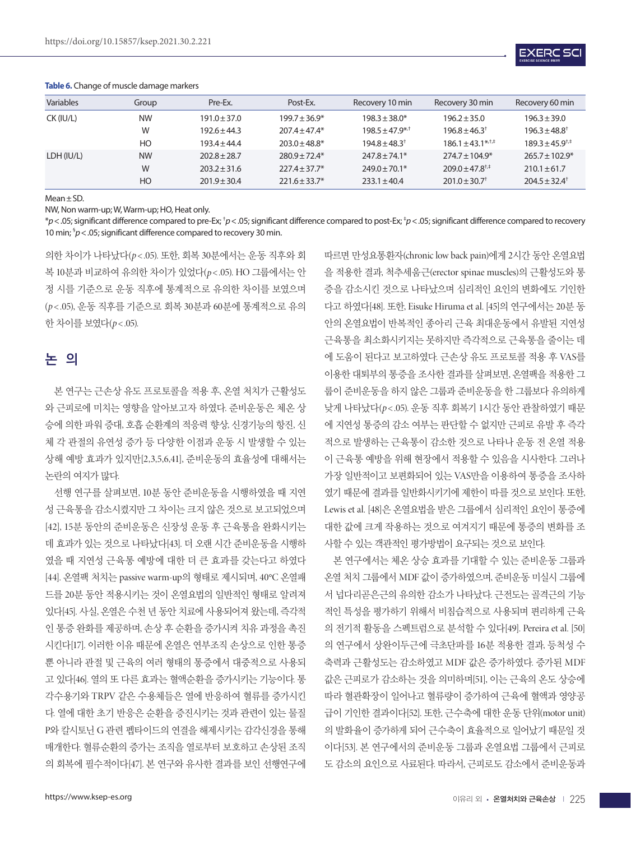

| <b>Variables</b> | Group     | Pre-Ex.          | Post-Ex.           | Recovery 10 min               | Recovery 30 min                         | Recovery 60 min                   |
|------------------|-----------|------------------|--------------------|-------------------------------|-----------------------------------------|-----------------------------------|
| CK (IU/L)        | <b>NW</b> | $191.0 \pm 37.0$ | $199.7 \pm 36.9^*$ | $198.3 \pm 38.0*$             | $196.2 \pm 35.0$                        | $196.3 \pm 39.0$                  |
|                  | W         | $192.6 \pm 44.3$ | $207.4 + 47.4*$    | $198.5 + 47.9$ <sup>*/+</sup> | $196.8 + 46.3$ <sup>†</sup>             | $196.3 \pm 48.8^{\dagger}$        |
|                  | HO        | $193.4 + 44.4$   | $203.0 \pm 48.8^*$ | $194.8 \pm 48.3^+$            | $186.1 \pm 43.1^{\ast,\dagger,\dagger}$ | $189.3 + 45.9^{\dagger,\ddagger}$ |
| LDH (IU/L)       | <b>NW</b> | $202.8 \pm 28.7$ | $780.9 + 72.4*$    | $747.8 + 74.1*$               | $774.7 + 104.9*$                        | $765.7 + 102.9*$                  |
|                  | W         | $203.2 \pm 31.6$ | $227.4 \pm 37.7^*$ | $249.0 \pm 70.1*$             | $209.0 \pm 47.8^{\dagger,*}$            | $210.1 \pm 61.7$                  |
|                  | HO        | $201.9 \pm 30.4$ | $221.6 \pm 33.7^*$ | $733.1 + 40.4$                | $201.0 \pm 30.7$ <sup>+</sup>           | $704.5 + 32.4$ <sup>†</sup>       |

#### **Table 6.** Change of muscle damage markers

#### Mean±SD.

NW, Non warm-up; W, Warm-up; HO, Heat only.

\**p*<.05; significant difference compared to pre-Ex; † *p*<.05; significant difference compared to post-Ex; ‡ *p*<.05; significant difference compared to recovery 10 min; § *p*<.05; significant difference compared to recovery 30 min.

의한 차이가 나타났다(*p*< .05). 또한, 회복 30분에서는 운동 직후와 회 복 10분과 비교하여 유의한 차이가 있었다(*p*< .05). HO 그룹에서는 안 정 시를 기준으로 운동 직후에 통계적으로 유의한 차이를 보였으며 (*p*< .05), 운동 직후를 기준으로 회복 30분과 60분에 통계적으로 유의 한 차이를 보였다( $p < .05$ ).

## 논 의

본 연구는 근손상 유도 프로토콜을 적용 후, 온열 처치가 근활성도 와 근피로에 미치는 영향을 알아보고자 하였다. 준비운동은 체온 상 승에 의한 파워 증대, 호흡 순환계의 적응력 향상, 신경기능의 항진, 신 체 각 관절의 유연성 증가 등 다양한 이점과 운동 시 발생할 수 있는 상해 예방 효과가 있지만[2,3,5,6,41], 준비운동의 효율성에 대해서는 논란의 여지가 많다.

선행 연구를 살펴보면, 10분 동안 준비운동을 시행하였을 때 지연 성 근육통을 감소시켰지만 그 차이는 크지 않은 것으로 보고되었으며 [42], 15분 동안의 준비운동은 신장성 운동 후 근육통을 완화시키는 데 효과가 있는 것으로 나타났다[43]. 더 오랜 시간 준비운동을 시행하 였을 때 지연성 근육통 예방에 대한 더 큰 효과를 갖는다고 하였다 [44]. 온열팩 처치는 passive warm-up의 형태로 제시되며, 40°C 온열패 드를 20분 동안 적용시키는 것이 온열요법의 일반적인 형태로 알려져 있다[45]. 사실, 온열은 수천 년 동안 치료에 사용되어져 왔는데, 즉각적 인 통증 완화를 제공하며, 손상 후 순환을 증가시켜 치유 과정을 촉진 시킨다[17]. 이러한 이유 때문에 온열은 연부조직 손상으로 인한 통증 뿐 아니라 관절 및 근육의 여러 형태의 통증에서 대중적으로 사용되 고 있다[46]. 열의 또 다른 효과는 혈액순환을 증가시키는 기능이다. 통 각수용기와 TRPV 같은 수용체들은 열에 반응하여 혈류를 증가시킨 다. 열에 대한 초기 반응은 순환을 증진시키는 것과 관련이 있는 물질 P와 칼시토닌 G 관련 펩타이드의 연결을 해제시키는 감각신경을 통해 매개한다. 혈류순환의 증가는 조직을 열로부터 보호하고 손상된 조직 의 회복에 필수적이다[47]. 본 연구와 유사한 결과를 보인 선행연구에

따르면 만성요통환자(chronic low back pain)에게 2시간 동안 온열요법 을 적용한 결과, 척추세움근(erector spinae muscles)의 근활성도와 통 증을 감소시킨 것으로 나타났으며 심리적인 요인의 변화에도 기인한 다고 하였다[48]. 또한, Eisuke Hiruma et al. [45]의 연구에서는 20분 동 안의 온열요법이 반복적인 종아리 근육 최대운동에서 유발된 지연성 근육통을 최소화시키지는 못하지만 즉각적으로 근육통을 줄이는 데 에 도움이 된다고 보고하였다. 근손상 유도 프로토콜 적용 후 VAS를 이용한 대퇴부의 통증을 조사한 결과를 살펴보면, 온열팩을 적용한 그 룹이 준비운동을 하지 않은 그룹과 준비운동을 한 그룹보다 유의하게 낮게 나타났다(*p*< .05). 운동 직후 회복기 1시간 동안 관찰하였기 때문 에 지연성 통증의 감소 여부는 판단할 수 없지만 근피로 유발 후 즉각 적으로 발생하는 근육통이 감소한 것으로 나타나 운동 전 온열 적용 이 근육통 예방을 위해 현장에서 적용할 수 있음을 시사한다. 그러나 가장 일반적이고 보편화되어 있는 VAS만을 이용하여 통증을 조사하 였기 때문에 결과를 일반화시키기에 제한이 따를 것으로 보인다. 또한, Lewis et al. [48]은 온열요법을 받은 그룹에서 심리적인 요인이 통증에 대한 값에 크게 작용하는 것으로 여겨지기 때문에 통증의 변화를 조 사할 수 있는 객관적인 평가방법이 요구되는 것으로 보인다.

본 연구에서는 체온 상승 효과를 기대할 수 있는 준비운동 그룹과 온열 처치 그룹에서 MDF 값이 증가하였으며, 준비운동 미실시 그룹에 서 넙다리곧은근의 유의한 감소가 나타났다. 근전도는 골격근의 기능 적인 특성을 평가하기 위해서 비침습적으로 사용되며 편리하게 근육 의 전기적 활동을 스펙트럼으로 분석할 수 있다[49]. Pereira et al. [50] 의 연구에서 상완이두근에 극초단파를 16분 적용한 결과, 등척성 수 축력과 근활성도는 감소하였고 MDF 값은 증가하였다. 증가된 MDF 값은 근피로가 감소하는 것을 의미하며[51], 이는 근육의 온도 상승에 따라 혈관확장이 일어나고 혈류량이 증가하여 근육에 혈액과 영양공 급이 기인한 결과이다[52]. 또한, 근수축에 대한 운동 단위(motor unit) 의 발화율이 증가하게 되어 근수축이 효율적으로 일어났기 때문일 것 이다[53]. 본 연구에서의 준비운동 그룹과 온열요법 그룹에서 근피로 도 감소의 요인으로 사료된다. 따라서, 근피로도 감소에서 준비운동과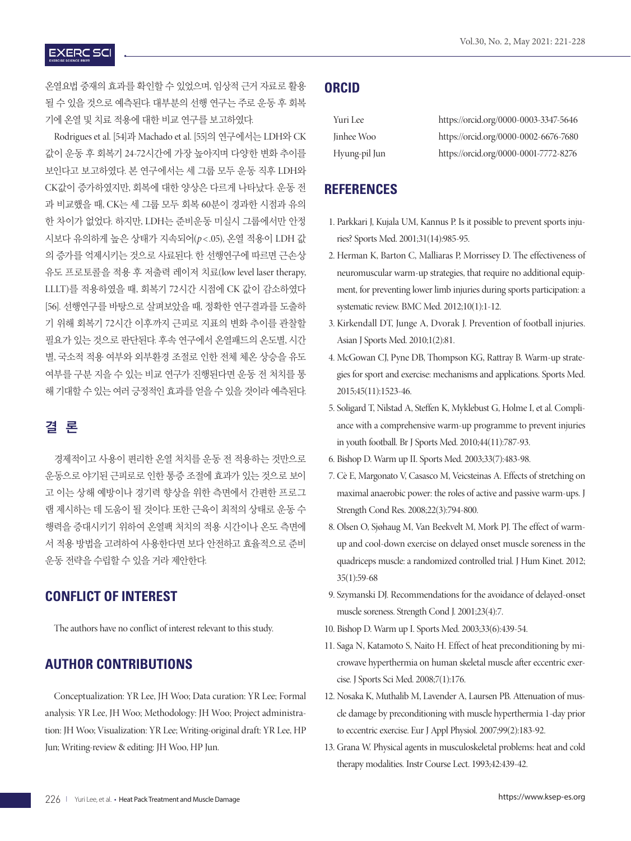### **EXERC SCI**

온열요법 중재의 효과를 확인할 수 있었으며, 임상적 근거 자료로 활용 될 수 있을 것으로 예측된다. 대부분의 선행 연구는 주로 운동 후 회복 기에 온열 및 치료 적용에 대한 비교 연구를 보고하였다.

Rodrigues et al. [54]과 Machado et al. [55]의 연구에서는 LDH와 CK 값이 운동 후 회복기 24-72시간에 가장 높아지며 다양한 변화 추이를 보인다고 보고하였다. 본 연구에서는 세 그룹 모두 운동 직후 LDH와 CK값이 증가하였지만, 회복에 대한 양상은 다르게 나타났다. 운동 전 과 비교했을 때, CK는 세 그룹 모두 회복 60분이 경과한 시점과 유의 한 차이가 없었다. 하지만, LDH는 준비운동 미실시 그룹에서만 안정 시보다 유의하게 높은 상태가 지속되어(*p*< .05), 온열 적용이 LDH 값 의 증가를 억제시키는 것으로 사료된다. 한 선행연구에 따르면 근손상 유도 프로토콜을 적용 후 저출력 레이저 치료(low level laser therapy, LLLT)를 적용하였을 때, 회복기 72시간 시점에 CK 값이 감소하였다 [56]. 선행연구를 바탕으로 살펴보았을 때, 정확한 연구결과를 도출하 기 위해 회복기 72시간 이후까지 근피로 지표의 변화 추이를 관찰할 필요가 있는 것으로 판단된다. 후속 연구에서 온열패드의 온도별, 시간 별, 국소적 적용 여부와 외부환경 조절로 인한 전체 체온 상승을 유도 여부를 구분 지을 수 있는 비교 연구가 진행된다면 운동 전 처치를 통 해 기대할 수 있는 여러 긍정적인 효과를 얻을 수 있을 것이라 예측된다.

## 결 론

경제적이고 사용이 편리한 온열 처치를 운동 전 적용하는 것만으로 운동으로 야기된 근피로로 인한 통증 조절에 효과가 있는 것으로 보이 고 이는 상해 예방이나 경기력 향상을 위한 측면에서 간편한 프로그 램 제시하는 데 도움이 될 것이다. 또한 근육이 최적의 상태로 운동 수 행력을 증대시키기 위하여 온열팩 처치의 적용 시간이나 온도 측면에 서 적용 방법을 고려하여 사용한다면 보다 안전하고 효율적으로 준비 운동 전략을 수립할 수 있을 거라 제안한다.

## **CONFLICT OF INTEREST**

The authors have no conflict of interest relevant to this study.

## **AUTHOR CONTRIBUTIONS**

Conceptualization: YR Lee, JH Woo; Data curation: YR Lee; Formal analysis: YR Lee, JH Woo; Methodology: JH Woo; Project administration: JH Woo; Visualization: YR Lee; Writing-original draft: YR Lee, HP Jun; Writing-review & editing: JH Woo, HP Jun.

## **ORCID**

| Yuri Lee      | https://orcid.org/0000-0003-3347-5646 |
|---------------|---------------------------------------|
| Jinhee Woo    | https://orcid.org/0000-0002-6676-7680 |
| Hyung-pil Jun | https://orcid.org/0000-0001-7772-8276 |

#### **REFERENCES**

- 1. Parkkari J, Kujala UM, Kannus P. Is it possible to prevent sports injuries? Sports Med. 2001;31(14):985-95.
- 2. Herman K, Barton C, Malliaras P, Morrissey D. The effectiveness of neuromuscular warm-up strategies, that require no additional equipment, for preventing lower limb injuries during sports participation: a systematic review. BMC Med. 2012;10(1):1-12.
- 3. Kirkendall DT, Junge A, Dvorak J. Prevention of football injuries. Asian J Sports Med. 2010;1(2):81.
- 4. McGowan CJ, Pyne DB, Thompson KG, Rattray B. Warm-up strategies for sport and exercise: mechanisms and applications. Sports Med. 2015;45(11):1523-46.
- 5. Soligard T, Nilstad A, Steffen K, Myklebust G, Holme I, et al. Compliance with a comprehensive warm-up programme to prevent injuries in youth football. Br J Sports Med. 2010;44(11):787-93.
- 6. Bishop D. Warm up II. Sports Med. 2003;33(7):483-98.
- 7. Cè E, Margonato V, Casasco M, Veicsteinas A. Effects of stretching on maximal anaerobic power: the roles of active and passive warm-ups. J Strength Cond Res. 2008;22(3):794-800.
- 8. Olsen O, Sjøhaug M, Van Beekvelt M, Mork PJ. The effect of warmup and cool-down exercise on delayed onset muscle soreness in the quadriceps muscle: a randomized controlled trial. J Hum Kinet. 2012; 35(1):59-68
- 9. Szymanski DJ. Recommendations for the avoidance of delayed-onset muscle soreness. Strength Cond J. 2001;23(4):7.
- 10. Bishop D. Warm up I. Sports Med. 2003;33(6):439-54.
- 11. Saga N, Katamoto S, Naito H. Effect of heat preconditioning by microwave hyperthermia on human skeletal muscle after eccentric exercise. J Sports Sci Med. 2008;7(1):176.
- 12. Nosaka K, Muthalib M, Lavender A, Laursen PB. Attenuation of muscle damage by preconditioning with muscle hyperthermia 1-day prior to eccentric exercise. Eur J Appl Physiol. 2007;99(2):183-92.
- 13. Grana W. Physical agents in musculoskeletal problems: heat and cold therapy modalities. Instr Course Lect. 1993;42:439-42.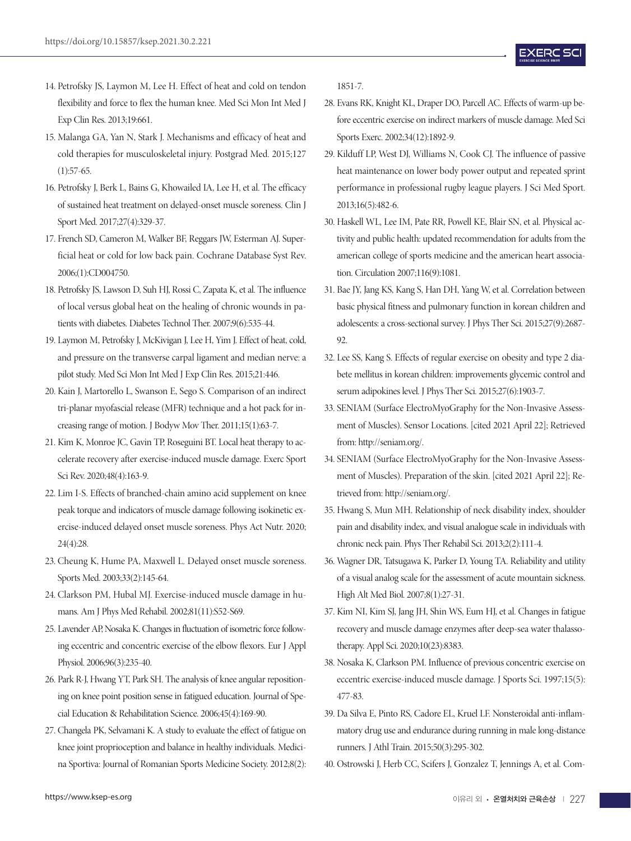- 14. Petrofsky JS, Laymon M, Lee H. Effect of heat and cold on tendon flexibility and force to flex the human knee. Med Sci Mon Int Med J Exp Clin Res. 2013;19:661.
- 15. Malanga GA, Yan N, Stark J. Mechanisms and efficacy of heat and cold therapies for musculoskeletal injury. Postgrad Med. 2015;127  $(1):$ 57-65.
- 16. Petrofsky J, Berk L, Bains G, Khowailed IA, Lee H, et al. The efficacy of sustained heat treatment on delayed-onset muscle soreness. Clin J Sport Med. 2017;27(4):329-37.
- 17. French SD, Cameron M, Walker BF, Reggars JW, Esterman AJ. Superficial heat or cold for low back pain. Cochrane Database Syst Rev. 2006;(1):CD004750.
- 18. Petrofsky JS, Lawson D, Suh HJ, Rossi C, Zapata K, et al. The influence of local versus global heat on the healing of chronic wounds in patients with diabetes. Diabetes Technol Ther. 2007;9(6):535-44.
- 19. Laymon M, Petrofsky J, McKivigan J, Lee H, Yim J. Effect of heat, cold, and pressure on the transverse carpal ligament and median nerve: a pilot study. Med Sci Mon Int Med J Exp Clin Res. 2015;21:446.
- 20. Kain J, Martorello L, Swanson E, Sego S. Comparison of an indirect tri-planar myofascial release (MFR) technique and a hot pack for increasing range of motion. J Bodyw Mov Ther. 2011;15(1):63-7.
- 21. Kim K, Monroe JC, Gavin TP, Roseguini BT. Local heat therapy to accelerate recovery after exercise-induced muscle damage. Exerc Sport Sci Rev. 2020;48(4):163-9.
- 22. Lim I-S. Effects of branched-chain amino acid supplement on knee peak torque and indicators of muscle damage following isokinetic exercise-induced delayed onset muscle soreness. Phys Act Nutr. 2020; 24(4):28.
- 23. Cheung K, Hume PA, Maxwell L. Delayed onset muscle soreness. Sports Med. 2003;33(2):145-64.
- 24. Clarkson PM, Hubal MJ. Exercise-induced muscle damage in humans. Am J Phys Med Rehabil. 2002;81(11):S52-S69.
- 25. Lavender AP, Nosaka K. Changes in fluctuation of isometric force following eccentric and concentric exercise of the elbow flexors. Eur J Appl Physiol. 2006;96(3):235-40.
- 26. Park R-J, Hwang YT, Park SH. The analysis of knee angular repositioning on knee point position sense in fatigued education. Journal of Special Education & Rehabilitation Science. 2006;45(4):169-90.
- 27. Changela PK, Selvamani K. A study to evaluate the effect of fatigue on knee joint proprioception and balance in healthy individuals. Medicina Sportiva: Journal of Romanian Sports Medicine Society. 2012;8(2):

1851-7.

- 28. Evans RK, Knight KL, Draper DO, Parcell AC. Effects of warm-up before eccentric exercise on indirect markers of muscle damage. Med Sci Sports Exerc. 2002;34(12):1892-9.
- 29. Kilduff LP, West DJ, Williams N, Cook CJ. The influence of passive heat maintenance on lower body power output and repeated sprint performance in professional rugby league players. J Sci Med Sport. 2013;16(5):482-6.
- 30. Haskell WL, Lee IM, Pate RR, Powell KE, Blair SN, et al. Physical activity and public health: updated recommendation for adults from the american college of sports medicine and the american heart association. Circulation 2007;116(9):1081.
- 31. Bae JY, Jang KS, Kang S, Han DH, Yang W, et al. Correlation between basic physical fitness and pulmonary function in korean children and adolescents: a cross-sectional survey. J Phys Ther Sci. 2015;27(9):2687- 92.
- 32. Lee SS, Kang S. Effects of regular exercise on obesity and type 2 diabete mellitus in korean children: improvements glycemic control and serum adipokines level. J Phys Ther Sci. 2015;27(6):1903-7.
- 33. SENIAM (Surface ElectroMyoGraphy for the Non-Invasive Assessment of Muscles). Sensor Locations. [cited 2021 April 22]; Retrieved from: http://seniam.org/.
- 34. SENIAM (Surface ElectroMyoGraphy for the Non-Invasive Assessment of Muscles). Preparation of the skin. [cited 2021 April 22]; Retrieved from: http://seniam.org/.
- 35. Hwang S, Mun MH. Relationship of neck disability index, shoulder pain and disability index, and visual analogue scale in individuals with chronic neck pain. Phys Ther Rehabil Sci. 2013;2(2):111-4.
- 36. Wagner DR, Tatsugawa K, Parker D, Young TA. Reliability and utility of a visual analog scale for the assessment of acute mountain sickness. High Alt Med Biol. 2007;8(1):27-31.
- 37. Kim NI, Kim SJ, Jang JH, Shin WS, Eum HJ, et al. Changes in fatigue recovery and muscle damage enzymes after deep-sea water thalassotherapy. Appl Sci. 2020;10(23):8383.
- 38. Nosaka K, Clarkson PM. Influence of previous concentric exercise on eccentric exercise-induced muscle damage. J Sports Sci. 1997;15(5): 477-83.
- 39. Da Silva E, Pinto RS, Cadore EL, Kruel LF. Nonsteroidal anti-inflammatory drug use and endurance during running in male long-distance runners. J Athl Train. 2015;50(3):295-302.
- 40. Ostrowski J, Herb CC, Scifers J, Gonzalez T, Jennings A, et al. Com-